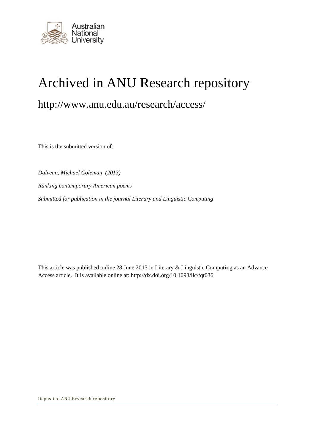

# Archived in ANU Research repository

## http://www.anu.edu.au/research/access/

This is the submitted version of:

*Dalvean, Michael Coleman (2013)* **Ranking contemporary American poems** Submitted for publication in the journal Literary and Linguistic Computing ANU R<br>
edu.au/res<br>
of:<br>
(2013)<br>
ican poems<br>
he journal Literar<br>
online at: http://d:<br>
tory

This article was published online 28 June 2013 in Literary & Linguistic Computing as an Advance Access article. It is available online at: http://dx.doi.org/10.1093/llc/fqt036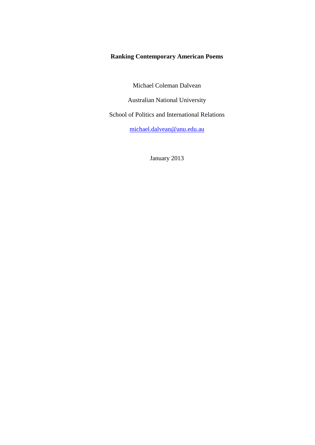## **Ranking Contemporary American Poems**

Michael Coleman Dalvean

Australian National University

School of Politics and International Relations

[michael.dalvean@anu.edu.au](mailto:michael.dalvean@anu.edu.au)

January 2013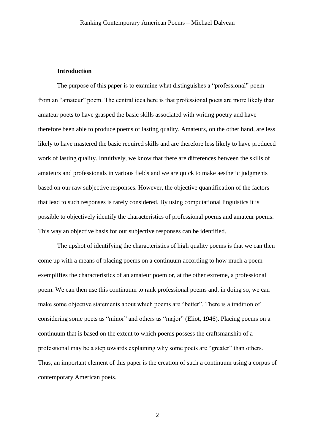#### **Introduction**

The purpose of this paper is to examine what distinguishes a "professional" poem from an "amateur" poem. The central idea here is that professional poets are more likely than amateur poets to have grasped the basic skills associated with writing poetry and have therefore been able to produce poems of lasting quality. Amateurs, on the other hand, are less likely to have mastered the basic required skills and are therefore less likely to have produced work of lasting quality. Intuitively, we know that there are differences between the skills of amateurs and professionals in various fields and we are quick to make aesthetic judgments based on our raw subjective responses. However, the objective quantification of the factors that lead to such responses is rarely considered. By using computational linguistics it is possible to objectively identify the characteristics of professional poems and amateur poems. This way an objective basis for our subjective responses can be identified.

The upshot of identifying the characteristics of high quality poems is that we can then come up with a means of placing poems on a continuum according to how much a poem exemplifies the characteristics of an amateur poem or, at the other extreme, a professional poem. We can then use this continuum to rank professional poems and, in doing so, we can make some objective statements about which poems are "better". There is a tradition of considering some poets as "minor" and others as "major" (Eliot, 1946). Placing poems on a continuum that is based on the extent to which poems possess the craftsmanship of a professional may be a step towards explaining why some poets are "greater" than others. Thus, an important element of this paper is the creation of such a continuum using a corpus of contemporary American poets.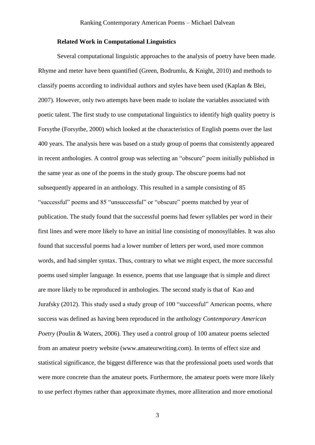#### **Related Work in Computational Linguistics**

Several computational linguistic approaches to the analysis of poetry have been made. Rhyme and meter have been quantified (Green, Bodrumlu, & Knight, 2010) and methods to classify poems according to individual authors and styles have been used (Kaplan & Blei, 2007). However, only two attempts have been made to isolate the variables associated with poetic talent. The first study to use computational linguistics to identify high quality poetry is Forsythe (Forsythe, 2000) which looked at the characteristics of English poems over the last 400 years. The analysis here was based on a study group of poems that consistently appeared in recent anthologies. A control group was selecting an "obscure" poem initially published in the same year as one of the poems in the study group. The obscure poems had not subsequently appeared in an anthology. This resulted in a sample consisting of 85 "successful" poems and 85 "unsuccessful" or "obscure" poems matched by year of publication. The study found that the successful poems had fewer syllables per word in their first lines and were more likely to have an initial line consisting of monosyllables. It was also found that successful poems had a lower number of letters per word, used more common words, and had simpler syntax. Thus, contrary to what we might expect, the more successful poems used simpler language. In essence, poems that use language that is simple and direct are more likely to be reproduced in anthologies. The second study is that of Kao and Jurafsky (2012). This study used a study group of 100 "successful" American poems, where success was defined as having been reproduced in the anthology *Contemporary American Poetry* (Poulin & Waters, 2006). They used a control group of 100 amateur poems selected from an amateur poetry website (www.amateurwriting.com). In terms of effect size and statistical significance, the biggest difference was that the professional poets used words that were more concrete than the amateur poets. Furthermore, the amateur poets were more likely to use perfect rhymes rather than approximate rhymes, more alliteration and more emotional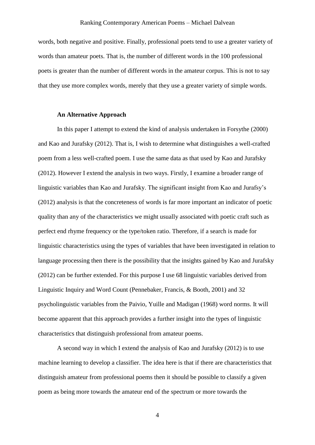words, both negative and positive. Finally, professional poets tend to use a greater variety of words than amateur poets. That is, the number of different words in the 100 professional poets is greater than the number of different words in the amateur corpus. This is not to say that they use more complex words, merely that they use a greater variety of simple words.

#### **An Alternative Approach**

In this paper I attempt to extend the kind of analysis undertaken in Forsythe (2000) and Kao and Jurafsky (2012). That is, I wish to determine what distinguishes a well-crafted poem from a less well-crafted poem. I use the same data as that used by Kao and Jurafsky (2012). However I extend the analysis in two ways. Firstly, I examine a broader range of linguistic variables than Kao and Jurafsky. The significant insight from Kao and Jurafsy's (2012) analysis is that the concreteness of words is far more important an indicator of poetic quality than any of the characteristics we might usually associated with poetic craft such as perfect end rhyme frequency or the type/token ratio. Therefore, if a search is made for linguistic characteristics using the types of variables that have been investigated in relation to language processing then there is the possibility that the insights gained by Kao and Jurafsky (2012) can be further extended. For this purpose I use 68 linguistic variables derived from Linguistic Inquiry and Word Count (Pennebaker, Francis, & Booth, 2001) and 32 psycholinguistic variables from the Paivio, Yuille and Madigan (1968) word norms. It will become apparent that this approach provides a further insight into the types of linguistic characteristics that distinguish professional from amateur poems.

A second way in which I extend the analysis of Kao and Jurafsky (2012) is to use machine learning to develop a classifier. The idea here is that if there are characteristics that distinguish amateur from professional poems then it should be possible to classify a given poem as being more towards the amateur end of the spectrum or more towards the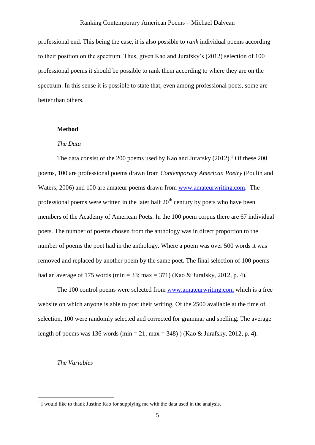professional end. This being the case, it is also possible to *rank* individual poems according to their position on the spectrum. Thus, given Kao and Jurafsky's (2012) selection of 100 professional poems it should be possible to rank them according to where they are on the spectrum. In this sense it is possible to state that, even among professional poets, some are better than others.

#### **Method**

#### *The Data*

The data consist of the 200 poems used by Kao and Jurafsky  $(2012)$ .<sup>1</sup> Of these 200 poems, 100 are professional poems drawn from *Contemporary American Poetry* (Poulin and Waters, 2006) and 100 are amateur poems drawn from [www.amateurwriting.com.](http://www.amateurwriting.com/) The professional poems were written in the later half  $20<sup>th</sup>$  century by poets who have been members of the Academy of American Poets. In the 100 poem corpus there are 67 individual poets. The number of poems chosen from the anthology was in direct proportion to the number of poems the poet had in the anthology. Where a poem was over 500 words it was removed and replaced by another poem by the same poet. The final selection of 100 poems had an average of 175 words (min = 33; max = 371) (Kao & Jurafsky, 2012, p. 4).

The 100 control poems were selected from [www.amateurwriting.com](http://www.amateurwriting.com/) which is a free website on which anyone is able to post their writing. Of the 2500 available at the time of selection, 100 were randomly selected and corrected for grammar and spelling. The average length of poems was 136 words (min = 21; max = 348) ) (Kao & Jurafsky, 2012, p. 4).

#### *The Variables*

-

 $<sup>1</sup>$  I would like to thank Justine Kao for supplying me with the data used in the analysis.</sup>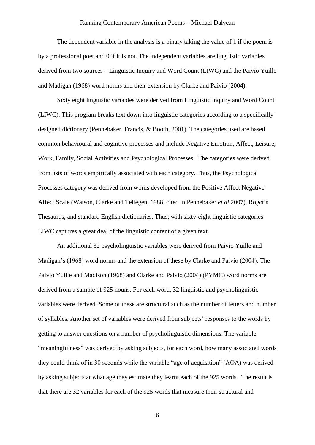The dependent variable in the analysis is a binary taking the value of 1 if the poem is by a professional poet and 0 if it is not. The independent variables are linguistic variables derived from two sources – Linguistic Inquiry and Word Count (LIWC) and the Paivio Yuille and Madigan (1968) word norms and their extension by Clarke and Paivio (2004).

Sixty eight linguistic variables were derived from Linguistic Inquiry and Word Count (LIWC). This program breaks text down into linguistic categories according to a specifically designed dictionary (Pennebaker, Francis, & Booth, 2001). The categories used are based common behavioural and cognitive processes and include Negative Emotion, Affect, Leisure, Work, Family, Social Activities and Psychological Processes. The categories were derived from lists of words empirically associated with each category. Thus, the Psychological Processes category was derived from words developed from the Positive Affect Negative Affect Scale (Watson, Clarke and Tellegen, 1988, cited in Pennebaker *et al* 2007), Roget's Thesaurus, and standard English dictionaries. Thus, with sixty-eight linguistic categories LIWC captures a great deal of the linguistic content of a given text.

An additional 32 psycholinguistic variables were derived from Paivio Yuille and Madigan's (1968) word norms and the extension of these by Clarke and Paivio (2004). The Paivio Yuille and Madison (1968) and Clarke and Paivio (2004) (PYMC) word norms are derived from a sample of 925 nouns. For each word, 32 linguistic and psycholinguistic variables were derived. Some of these are structural such as the number of letters and number of syllables. Another set of variables were derived from subjects' responses to the words by getting to answer questions on a number of psycholinguistic dimensions. The variable "meaningfulness" was derived by asking subjects, for each word, how many associated words they could think of in 30 seconds while the variable "age of acquisition" (AOA) was derived by asking subjects at what age they estimate they learnt each of the 925 words. The result is that there are 32 variables for each of the 925 words that measure their structural and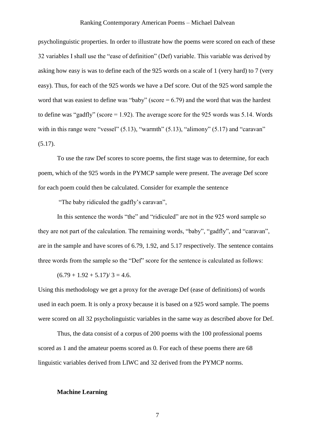psycholinguistic properties. In order to illustrate how the poems were scored on each of these 32 variables I shall use the "ease of definition" (Def) variable. This variable was derived by asking how easy is was to define each of the 925 words on a scale of 1 (very hard) to 7 (very easy). Thus, for each of the 925 words we have a Def score. Out of the 925 word sample the word that was easiest to define was "baby" (score  $= 6.79$ ) and the word that was the hardest to define was "gadfly" (score = 1.92). The average score for the 925 words was 5.14. Words with in this range were "vessel"  $(5.13)$ , "warmth"  $(5.13)$ , "alimony"  $(5.17)$  and "caravan"  $(5.17)$ .

To use the raw Def scores to score poems, the first stage was to determine, for each poem, which of the 925 words in the PYMCP sample were present. The average Def score for each poem could then be calculated. Consider for example the sentence

"The baby ridiculed the gadfly's caravan",

In this sentence the words "the" and "ridiculed" are not in the 925 word sample so they are not part of the calculation. The remaining words, "baby", "gadfly", and "caravan", are in the sample and have scores of 6.79, 1.92, and 5.17 respectively. The sentence contains three words from the sample so the "Def" score for the sentence is calculated as follows:

 $(6.79 + 1.92 + 5.17)/3 = 4.6.$ 

Using this methodology we get a proxy for the average Def (ease of definitions) of words used in each poem. It is only a proxy because it is based on a 925 word sample. The poems were scored on all 32 psycholinguistic variables in the same way as described above for Def.

Thus, the data consist of a corpus of 200 poems with the 100 professional poems scored as 1 and the amateur poems scored as 0. For each of these poems there are 68 linguistic variables derived from LIWC and 32 derived from the PYMCP norms.

#### **Machine Learning**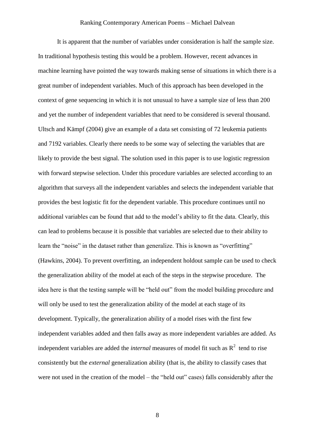It is apparent that the number of variables under consideration is half the sample size. In traditional hypothesis testing this would be a problem. However, recent advances in machine learning have pointed the way towards making sense of situations in which there is a great number of independent variables. Much of this approach has been developed in the context of gene sequencing in which it is not unusual to have a sample size of less than 200 and yet the number of independent variables that need to be considered is several thousand. Ultsch and Kämpf (2004) give an example of a data set consisting of 72 leukemia patients and 7192 variables. Clearly there needs to be some way of selecting the variables that are likely to provide the best signal. The solution used in this paper is to use logistic regression with forward stepwise selection. Under this procedure variables are selected according to an algorithm that surveys all the independent variables and selects the independent variable that provides the best logistic fit for the dependent variable. This procedure continues until no additional variables can be found that add to the model's ability to fit the data. Clearly, this can lead to problems because it is possible that variables are selected due to their ability to learn the "noise" in the dataset rather than generalize. This is known as "overfitting" (Hawkins, 2004). To prevent overfitting, an independent holdout sample can be used to check the generalization ability of the model at each of the steps in the stepwise procedure. The idea here is that the testing sample will be "held out" from the model building procedure and will only be used to test the generalization ability of the model at each stage of its development. Typically, the generalization ability of a model rises with the first few independent variables added and then falls away as more independent variables are added. As independent variables are added the *internal* measures of model fit such as  $R^2$  tend to rise consistently but the *external* generalization ability (that is, the ability to classify cases that were not used in the creation of the model – the "held out" cases) falls considerably after the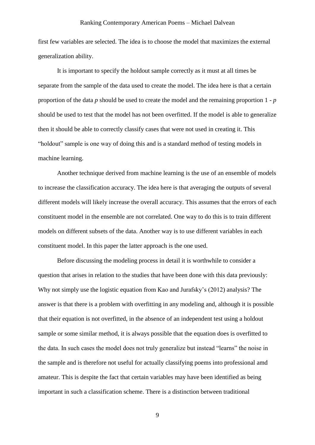first few variables are selected. The idea is to choose the model that maximizes the external generalization ability.

It is important to specify the holdout sample correctly as it must at all times be separate from the sample of the data used to create the model. The idea here is that a certain proportion of the data *p* should be used to create the model and the remaining proportion 1 - *p* should be used to test that the model has not been overfitted. If the model is able to generalize then it should be able to correctly classify cases that were not used in creating it. This "holdout" sample is one way of doing this and is a standard method of testing models in machine learning.

Another technique derived from machine learning is the use of an ensemble of models to increase the classification accuracy. The idea here is that averaging the outputs of several different models will likely increase the overall accuracy. This assumes that the errors of each constituent model in the ensemble are not correlated. One way to do this is to train different models on different subsets of the data. Another way is to use different variables in each constituent model. In this paper the latter approach is the one used.

Before discussing the modeling process in detail it is worthwhile to consider a question that arises in relation to the studies that have been done with this data previously: Why not simply use the logistic equation from Kao and Jurafsky's (2012) analysis? The answer is that there is a problem with overfitting in any modeling and, although it is possible that their equation is not overfitted, in the absence of an independent test using a holdout sample or some similar method, it is always possible that the equation does is overfitted to the data. In such cases the model does not truly generalize but instead "learns" the noise in the sample and is therefore not useful for actually classifying poems into professional amd amateur. This is despite the fact that certain variables may have been identified as being important in such a classification scheme. There is a distinction between traditional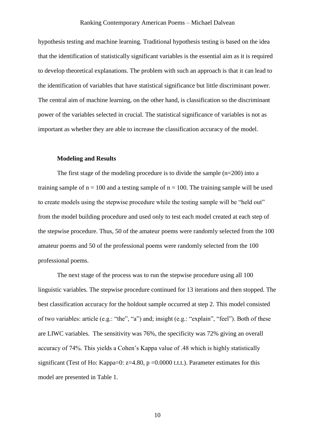hypothesis testing and machine learning. Traditional hypothesis testing is based on the idea that the identification of statistically significant variables is the essential aim as it is required to develop theoretical explanations. The problem with such an approach is that it can lead to the identification of variables that have statistical significance but little discriminant power. The central aim of machine learning, on the other hand, is classification so the discriminant power of the variables selected in crucial. The statistical significance of variables is not as important as whether they are able to increase the classification accuracy of the model.

#### **Modeling and Results**

The first stage of the modeling procedure is to divide the sample  $(n=200)$  into a training sample of  $n = 100$  and a testing sample of  $n = 100$ . The training sample will be used to create models using the stepwise procedure while the testing sample will be "held out" from the model building procedure and used only to test each model created at each step of the stepwise procedure. Thus, 50 of the amateur poems were randomly selected from the 100 amateur poems and 50 of the professional poems were randomly selected from the 100 professional poems.

The next stage of the process was to run the stepwise procedure using all 100 linguistic variables. The stepwise procedure continued for 13 iterations and then stopped. The best classification accuracy for the holdout sample occurred at step 2. This model consisted of two variables: article (e.g.: "the", "a") and; insight (e.g.: "explain", "feel"). Both of these are LIWC variables. The sensitivity was 76%, the specificity was 72% giving an overall accuracy of 74%. This yields a Cohen's Kappa value of .48 which is highly statistically significant (Test of Ho: Kappa=0:  $z=4.80$ , p =0.0000 t.t.t.). Parameter estimates for this model are presented in Table 1.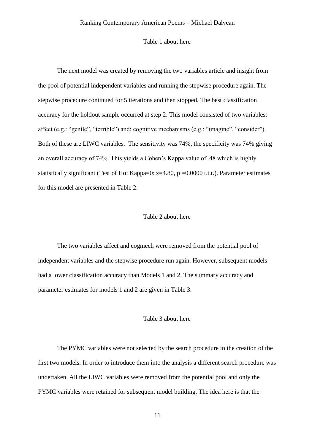#### Table 1 about here

The next model was created by removing the two variables article and insight from the pool of potential independent variables and running the stepwise procedure again. The stepwise procedure continued for 5 iterations and then stopped. The best classification accuracy for the holdout sample occurred at step 2. This model consisted of two variables: affect (e.g.: "gentle", "terrible") and; cognitive mechanisms (e.g.: "imagine", "consider"). Both of these are LIWC variables. The sensitivity was 74%, the specificity was 74% giving an overall accuracy of 74%. This yields a Cohen's Kappa value of .48 which is highly statistically significant (Test of Ho: Kappa=0: z=4.80, p =0.0000 t.t.t.). Parameter estimates for this model are presented in Table 2.

#### Table 2 about here

The two variables affect and cogmech were removed from the potential pool of independent variables and the stepwise procedure run again. However, subsequent models had a lower classification accuracy than Models 1 and 2. The summary accuracy and parameter estimates for models 1 and 2 are given in Table 3.

#### Table 3 about here

The PYMC variables were not selected by the search procedure in the creation of the first two models. In order to introduce them into the analysis a different search procedure was undertaken. All the LIWC variables were removed from the potential pool and only the PYMC variables were retained for subsequent model building. The idea here is that the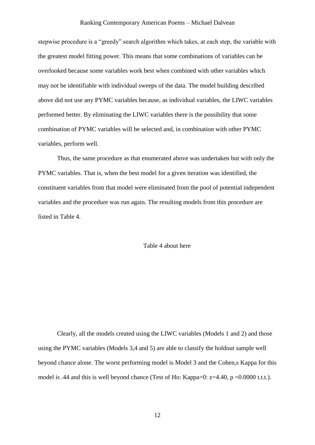stepwise procedure is a "greedy" search algorithm which takes, at each step, the variable with the greatest model fitting power. This means that some combinations of variables can be overlooked because some variables work best when combined with other variables which may not be identifiable with individual sweeps of the data. The model building described above did not use any PYMC variables because, as individual variables, the LIWC variables performed better. By eliminating the LIWC variables there is the possibility that some combination of PYMC variables will be selected and, in combination with other PYMC variables, perform well.

Thus, the same procedure as that enumerated above was undertaken but with only the PYMC variables. That is, when the best model for a given iteration was identified, the constituent variables from that model were eliminated from the pool of potential independent variables and the procedure was run again. The resulting models from this procedure are listed in Table 4.

#### Table 4 about here

Clearly, all the models created using the LIWC variables (Models 1 and 2) and those using the PYMC variables (Models 3,4 and 5) are able to classify the holdout sample well beyond chance alone. The worst performing model is Model 3 and the Cohen,s Kappa for this model is .44 and this is well beyond chance (Test of Ho: Kappa=0: z=4.40, p =0.0000 t.t.t.).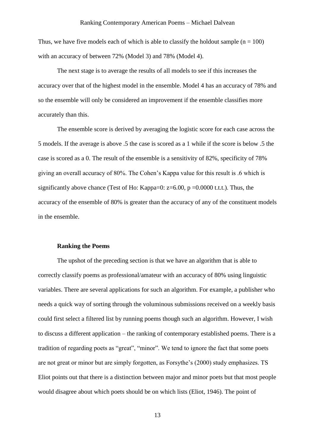Thus, we have five models each of which is able to classify the holdout sample  $(n = 100)$ with an accuracy of between 72% (Model 3) and 78% (Model 4).

The next stage is to average the results of all models to see if this increases the accuracy over that of the highest model in the ensemble. Model 4 has an accuracy of 78% and so the ensemble will only be considered an improvement if the ensemble classifies more accurately than this.

The ensemble score is derived by averaging the logistic score for each case across the 5 models. If the average is above .5 the case is scored as a 1 while if the score is below .5 the case is scored as a 0. The result of the ensemble is a sensitivity of 82%, specificity of 78% giving an overall accuracy of 80%. The Cohen's Kappa value for this result is .6 which is significantly above chance (Test of Ho: Kappa=0:  $z=6.00$ ,  $p = 0.0000$  t.t.t.). Thus, the accuracy of the ensemble of 80% is greater than the accuracy of any of the constituent models in the ensemble.

#### **Ranking the Poems**

The upshot of the preceding section is that we have an algorithm that is able to correctly classify poems as professional/amateur with an accuracy of 80% using linguistic variables. There are several applications for such an algorithm. For example, a publisher who needs a quick way of sorting through the voluminous submissions received on a weekly basis could first select a filtered list by running poems though such an algorithm. However, I wish to discuss a different application – the ranking of contemporary established poems. There is a tradition of regarding poets as "great", "minor". We tend to ignore the fact that some poets are not great or minor but are simply forgotten, as Forsythe's (2000) study emphasizes. TS Eliot points out that there is a distinction between major and minor poets but that most people would disagree about which poets should be on which lists (Eliot, 1946). The point of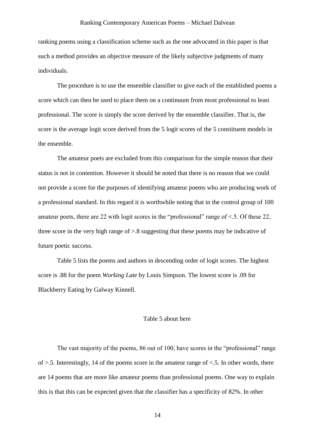ranking poems using a classification scheme such as the one advocated in this paper is that such a method provides an objective measure of the likely subjective judgments of many individuals.

The procedure is to use the ensemble classifier to give each of the established poems a score which can then be used to place them on a continuum from most professional to least professional. The score is simply the score derived by the ensemble classifier. That is, the score is the average logit score derived from the 5 logit scores of the 5 constituent models in the ensemble.

The amateur poets are excluded from this comparison for the simple reason that their status is not in contention. However it should be noted that there is no reason that we could not provide a score for the purposes of identifying amateur poems who are producing work of a professional standard. In this regard it is worthwhile noting that in the control group of 100 amateur poets, there are 22 with logit scores in the "professional" range of <.5. Of these 22, three score in the very high range of >.8 suggesting that these poems may be indicative of future poetic success.

Table 5 lists the poems and authors in descending order of logit scores. The highest score is .88 for the poem *Working Late* by Louis Simpson. The lowest score is .09 for Blackberry Eating by Galway Kinnell.

#### Table 5 about here

The vast majority of the poems, 86 out of 100, have scores in the "professional" range of >.5. Interestingly, 14 of the poems score in the amateur range of <.5. In other words, there are 14 poems that are more like amateur poems than professional poems. One way to explain this is that this can be expected given that the classifier has a specificity of 82%. In other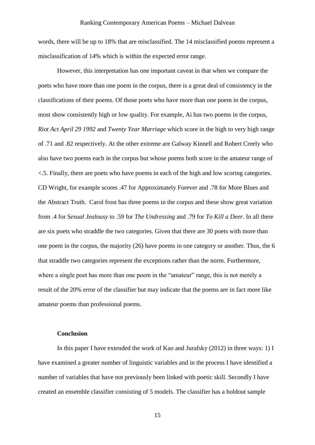words, there will be up to 18% that are misclassified. The 14 misclassified poems represent a misclassification of 14% which is within the expected error range.

However, this interpretation has one important caveat in that when we compare the poets who have more than one poem in the corpus, there is a great deal of consistency in the classifications of their poems. Of those poets who have more than one poem in the corpus, most show consistently high or low quality. For example, Ai has two poems in the corpus, *Riot Act April 29 1992* and *Twenty Year Marriage* which score in the high to very high range of .71 and .82 respectively. At the other extreme are Galway Kinnell and Robert Creely who also have two poems each in the corpus but whose poems both score in the amateur range of <.5. Finally, there are poets who have poems in each of the high and low scoring categories. CD Wright, for example scores .47 for Approximately Forever and .78 for More Blues and the Abstract Truth. Carol frost has three poems in the corpus and these show great variation from .4 for *Sexual Jealousy* to .59 for *The Undressing* and .79 for *To Kill a Deer*. In all there are six poets who straddle the two categories. Given that there are 30 poets with more than one poem in the corpus, the majority (26) have poems in one category or another. Thus, the 6 that straddle two categories represent the exceptions rather than the norm. Furthermore, where a single poet has more than one poem in the "amateur" range, this is not merely a result of the 20% error of the classifier but may indicate that the poems are in fact more like amateur poems than professional poems.

#### **Conclusion**

In this paper I have extended the work of Kao and Jurafsky  $(2012)$  in three ways: 1) I have examined a greater number of linguistic variables and in the process I have identified a number of variables that have not previously been linked with poetic skill. Secondly I have created an ensemble classifier consisting of 5 models. The classifier has a holdout sample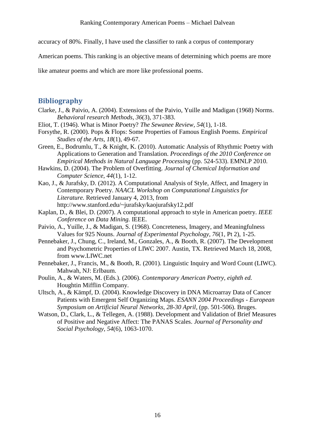accuracy of 80%. Finally, I have used the classifier to rank a corpus of contemporary

American poems. This ranking is an objective means of determining which poems are more

like amateur poems and which are more like professional poems.

## **Bibliography**

- Clarke, J., & Paivio, A. (2004). Extensions of the Paivio, Yuille and Madigan (1968) Norms. *Behavioral research Methods, 36*(3), 371-383.
- Eliot, T. (1946). What is Minor Poetry? *The Sewanee Review, 54*(1), 1-18.
- Forsythe, R. (2000). Pops & Flops: Some Properties of Famous English Poems. *Empirical Studies of the Arts, 18*(1), 49-67.
- Green, E., Bodrumlu, T., & Knight, K. (2010). Automatic Analysis of Rhythmic Poetry with Applications to Generation and Translation. *Proceedings of the 2010 Conference on Empirical Methods in Natural Language Processing* (pp. 524-533). EMNLP 2010.
- Hawkins, D. (2004). The Problem of Overfitting. *Journal of Chemical Information and Computer Science, 44*(1), 1-12.
- Kao, J., & Jurafsky, D. (2012). A Computational Analysis of Style, Affect, and Imagery in Contemporary Poetry. *NAACL Workshop on Computational Linguistics for Literature.* Retrieved January 4, 2013, from http://www.stanford.edu/~jurafsky/kaojurafsky12.pdf
- Kaplan, D., & Blei, D. (2007). A computational approach to style in American poetry. *IEEE Conference on Data Mining.* IEEE.
- Paivio, A., Yuille, J., & Madigan, S. (1968). Concreteness, Imagery, and Meaningfulness Values for 925 Nouns. *Journal of Experimental Psychology, 76*(1, Pt 2), 1-25.
- Pennebaker, J., Chung, C., Ireland, M., Gonzales, A., & Booth, R. (2007). The Development and Psychometric Properties of LIWC 2007. Austin, TX. Retrieved March 18, 2008, from www.LIWC.net
- Pennebaker, J., Francis, M., & Booth, R. (2001). Linguistic Inquiry and Word Count (LIWC). Mahwah, NJ: Erlbaum.
- Poulin, A., & Waters, M. (Eds.). (2006). *Contemporary American Poetry, eighth ed.* Houghtin Mifflin Company.
- Ultsch, A., & Kämpf, D. (2004). Knowledge Discovery in DNA Microarray Data of Cancer Patients with Emergent Self Organizing Maps. *ESANN 2004 Proceedings - European Symposium on Artificial Neural Networks, 28-30 April*, (pp. 501-506). Bruges.
- Watson, D., Clark, L., & Tellegen, A. (1988). Development and Validation of Brief Measures of Positive and Negative Affect: The PANAS Scales. *Journal of Personality and Social Psychology, 54*(6), 1063-1070.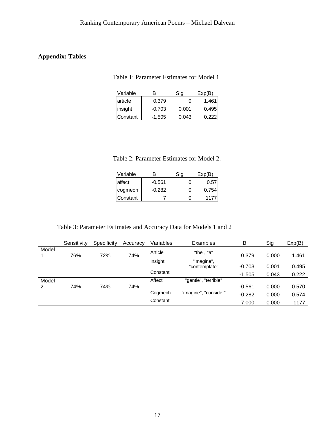## **Appendix: Tables**

Table 1: Parameter Estimates for Model 1.

| Variable  | R        | Sig   | Exp(B) |  |
|-----------|----------|-------|--------|--|
| article   | 0.379    | 0     | 1.461  |  |
| insight   | $-0.703$ | 0.001 | 0.495  |  |
| IConstant | -1,505   | 0.043 |        |  |

Table 2: Parameter Estimates for Model 2.

| Variable | R        | Sia | Exp(B) |
|----------|----------|-----|--------|
| laffect  | $-0.561$ |     | 0.57   |
| cogmech  | $-0.282$ | 0   | 0.754  |
| Constant |          |     | 117    |

Table 3: Parameter Estimates and Accuracy Data for Models 1 and 2

|       | Sensitivity | Specificity | Accuracy | Variables | Examples                    | В        | Sig   | Exp(B) |
|-------|-------------|-------------|----------|-----------|-----------------------------|----------|-------|--------|
| Model | 76%         | 72%         | 74%      | Article   | "the", "a"                  | 0.379    | 0.000 | 1.461  |
|       |             |             |          | Insight   | "imagine",<br>"contemplate" | $-0.703$ | 0.001 | 0.495  |
|       |             |             |          | Constant  |                             | $-1.505$ | 0.043 | 0.222  |
| Model |             |             |          | Affect    | "gentle", "terrible"        |          |       |        |
| 2     | 74%         | 74%         | 74%      |           |                             | $-0.561$ | 0.000 | 0.570  |
|       |             |             |          | Cogmech   | "imagine", "consider"       | $-0.282$ | 0.000 | 0.574  |
|       |             |             |          | Constant  |                             | 7.000    | 0.000 | 1177   |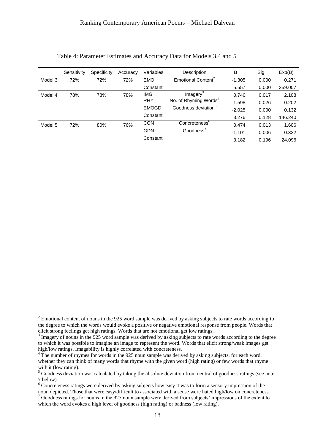|         | Sensitivity | Specificity | Accuracy   | Variables             | Description                       | B        | Sig   | Exp(B)  |
|---------|-------------|-------------|------------|-----------------------|-----------------------------------|----------|-------|---------|
| Model 3 | 72%         | 72%         | 72%        | <b>EMO</b>            | Emotional Content <sup>2</sup>    | $-1.305$ | 0.000 | 0.271   |
|         |             |             |            | Constant              |                                   | 5.557    | 0.000 | 259.007 |
| Model 4 | 78%         | 78%         | 78%        | <b>IMG</b>            | Imagery <sup>3</sup>              | 0.746    | 0.017 | 2.108   |
|         |             |             |            | <b>RHY</b>            | No. of Rhyming Words <sup>4</sup> | $-1.598$ | 0.026 | 0.202   |
|         |             |             |            | <b>EMOGD</b>          | Goodness deviation <sup>5</sup>   | $-2.025$ | 0.000 | 0.132   |
|         |             |             |            | Constant              |                                   | 3.276    | 0.128 | 146.240 |
| Model 5 | 72%         | 80%         | 76%        | <b>CON</b>            | Concreteness <sup>o</sup>         | 0.474    | 0.013 | 1.606   |
|         |             |             | <b>GDN</b> | Goodness <sup>7</sup> | $-1.101$                          | 0.006    | 0.332 |         |
|         |             |             |            | Constant              |                                   | 3.182    | 0.196 | 24.096  |

<u>.</u>

<sup>&</sup>lt;sup>2</sup> Emotional content of nouns in the 925 word sample was derived by asking subjects to rate words according to the degree to which the words would evoke a positive or negative emotional response from people. Words that elicit strong feelings get high ratings. Words that are not emotional get low ratings.

<sup>&</sup>lt;sup>3</sup> Imagery of nouns in the 925 word sample was derived by asking subjects to rate words according to the degree to which it was possible to imagine an image to represent the word. Words that elicit strong/weak images get high/low ratings. Imagability is highly correlated with concreteness.

<sup>&</sup>lt;sup>4</sup> The number of rhymes for words in the 925 noun sample was derived by asking subjects, for each word, whether they can think of many words that rhyme with the given word (high rating) or few words that rhyme with it (low rating).

<sup>&</sup>lt;sup>5</sup> Goodness deviation was calculated by taking the absolute deviation from neutral of goodness ratings (see note 7 below).

<sup>&</sup>lt;sup>6</sup> Concreteness ratings were derived by asking subjects how easy it was to form a sensory impression of the noun depicted. Those that were easy/difficult to associated with a sense were hated high/low on concreteness.

 $7$  Goodness ratings for nouns in the 925 noun sample were derived from subjects' impressions of the extent to which the word evokes a high level of goodness (high rating) or badness (low rating).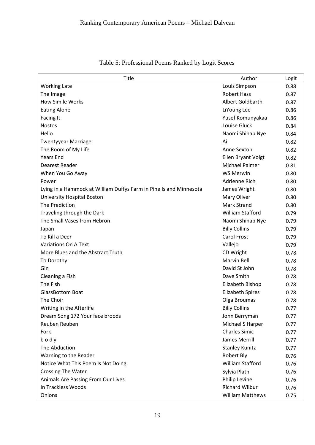| Title                                                              | Author                    | Logit |
|--------------------------------------------------------------------|---------------------------|-------|
| <b>Working Late</b>                                                | Louis Simpson             | 0.88  |
| The Image                                                          | <b>Robert Hass</b>        | 0.87  |
| How Simile Works                                                   | Albert Goldbarth          | 0.87  |
| <b>Eating Alone</b>                                                | LiYoung Lee               | 0.86  |
| Facing It                                                          | Yusef Komunyakaa          | 0.86  |
| <b>Nostos</b>                                                      | Louise Gluck              | 0.84  |
| Hello                                                              | Naomi Shihab Nye          | 0.84  |
| <b>Twentyyear Marriage</b>                                         | Ai                        | 0.82  |
| The Room of My Life                                                | Anne Sexton               | 0.82  |
| <b>Years End</b>                                                   | <b>Ellen Bryant Voigt</b> | 0.82  |
| Dearest Reader                                                     | <b>Michael Palmer</b>     | 0.81  |
| When You Go Away                                                   | <b>WS Merwin</b>          | 0.80  |
| Power                                                              | Adrienne Rich             | 0.80  |
| Lying in a Hammock at William Duffys Farm in Pine Island Minnesota | James Wright              | 0.80  |
| University Hospital Boston                                         | Mary Oliver               | 0.80  |
| The Prediction                                                     | <b>Mark Strand</b>        | 0.80  |
| Traveling through the Dark                                         | <b>William Stafford</b>   | 0.79  |
| The Small Vases from Hebron                                        | Naomi Shihab Nye          | 0.79  |
| Japan                                                              | <b>Billy Collins</b>      | 0.79  |
| To Kill a Deer                                                     | <b>Carol Frost</b>        | 0.79  |
| <b>Variations On A Text</b>                                        | Vallejo                   | 0.79  |
| More Blues and the Abstract Truth                                  | CD Wright                 | 0.78  |
| To Dorothy                                                         | Marvin Bell               | 0.78  |
| Gin                                                                | David St John             | 0.78  |
| Cleaning a Fish                                                    | Dave Smith                | 0.78  |
| The Fish                                                           | Elizabeth Bishop          | 0.78  |
| <b>GlassBottom Boat</b>                                            | <b>Elizabeth Spires</b>   | 0.78  |
| The Choir                                                          | Olga Broumas              | 0.78  |
| Writing in the Afterlife                                           | <b>Billy Collins</b>      | 0.77  |
| Dream Song 172 Your face broods                                    | John Berryman             | 0.77  |
| Reuben Reuben                                                      | Michael S Harper          | 0.77  |
| Fork                                                               | <b>Charles Simic</b>      | 0.77  |
| body                                                               | James Merrill             | 0.77  |
| The Abduction                                                      | <b>Stanley Kunitz</b>     | 0.77  |
| Warning to the Reader                                              | Robert Bly                | 0.76  |
| Notice What This Poem Is Not Doing                                 | William Stafford          | 0.76  |
| <b>Crossing The Water</b>                                          | Sylvia Plath              | 0.76  |
| Animals Are Passing From Our Lives                                 | Philip Levine             | 0.76  |
| In Trackless Woods                                                 | <b>Richard Wilbur</b>     | 0.76  |
| Onions                                                             | <b>William Matthews</b>   | 0.75  |

Table 5: Professional Poems Ranked by Logit Scores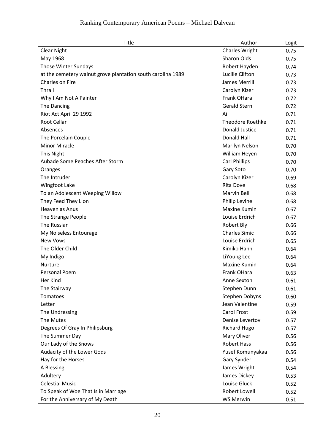| <b>Title</b>                                                | Author                  | Logit |
|-------------------------------------------------------------|-------------------------|-------|
| <b>Clear Night</b>                                          | <b>Charles Wright</b>   | 0.75  |
| May 1968                                                    | Sharon Olds             | 0.75  |
| Those Winter Sundays                                        | Robert Hayden           | 0.74  |
| at the cemetery walnut grove plantation south carolina 1989 | Lucille Clifton         | 0.73  |
| Charles on Fire                                             | James Merrill           | 0.73  |
| Thrall                                                      | Carolyn Kizer           | 0.73  |
| Why I Am Not A Painter                                      | Frank OHara             | 0.72  |
| The Dancing                                                 | <b>Gerald Stern</b>     | 0.72  |
| Riot Act April 29 1992                                      | Ai                      | 0.71  |
| Root Cellar                                                 | <b>Theodore Roethke</b> | 0.71  |
| Absences                                                    | <b>Donald Justice</b>   | 0.71  |
| The Porcelain Couple                                        | Donald Hall             | 0.71  |
| <b>Minor Miracle</b>                                        | Marilyn Nelson          | 0.70  |
| This Night                                                  | William Heyen           | 0.70  |
| Aubade Some Peaches After Storm                             | <b>Carl Phillips</b>    | 0.70  |
| Oranges                                                     | Gary Soto               | 0.70  |
| The Intruder                                                | Carolyn Kizer           | 0.69  |
| Wingfoot Lake                                               | <b>Rita Dove</b>        | 0.68  |
| To an Adolescent Weeping Willow                             | Marvin Bell             | 0.68  |
| They Feed They Lion                                         | Philip Levine           | 0.68  |
| Heaven as Anus                                              | Maxine Kumin            | 0.67  |
| The Strange People                                          | Louise Erdrich          | 0.67  |
| The Russian                                                 | Robert Bly              | 0.66  |
| My Noiseless Entourage                                      | <b>Charles Simic</b>    | 0.66  |
| <b>New Vows</b>                                             | Louise Erdrich          | 0.65  |
| The Older Child                                             | Kimiko Hahn             | 0.64  |
| My Indigo                                                   | LiYoung Lee             | 0.64  |
| Nurture                                                     | <b>Maxine Kumin</b>     | 0.64  |
| Personal Poem                                               | Frank OHara             | 0.63  |
| Her Kind                                                    | Anne Sexton             | 0.61  |
| The Stairway                                                | Stephen Dunn            | 0.61  |
| Tomatoes                                                    | Stephen Dobyns          | 0.60  |
| Letter                                                      | Jean Valentine          | 0.59  |
| The Undressing                                              | Carol Frost             | 0.59  |
| The Mutes                                                   | Denise Levertov         | 0.57  |
| Degrees Of Gray In Philipsburg                              | <b>Richard Hugo</b>     | 0.57  |
| The Summer Day                                              | Mary Oliver             | 0.56  |
| Our Lady of the Snows                                       | <b>Robert Hass</b>      | 0.56  |
| Audacity of the Lower Gods                                  | Yusef Komunyakaa        | 0.56  |
| Hay for the Horses                                          | Gary Synder             | 0.54  |
| A Blessing                                                  | James Wright            | 0.54  |
| Adultery                                                    | James Dickey            | 0.53  |
| <b>Celestial Music</b>                                      | Louise Gluck            | 0.52  |
| To Speak of Woe That Is in Marriage                         | Robert Lowell           | 0.52  |
| For the Anniversary of My Death                             | <b>WS Merwin</b>        | 0.51  |